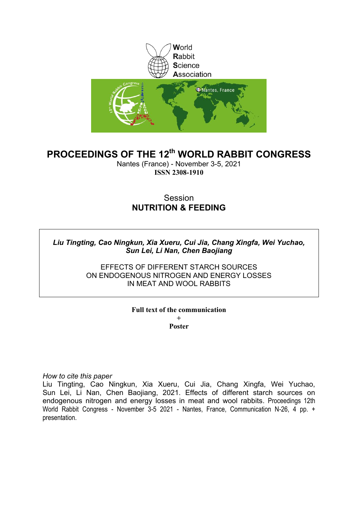

# **PROCEEDINGS OF THE 12th WORLD RABBIT CONGRESS**

Nantes (France) - November 3-5, 2021 **ISSN 2308-1910**

# Session **NUTRITION & FEEDING**

*Liu Tingting, Cao Ningkun, Xia Xueru, Cui Jia, Chang Xingfa, Wei Yuchao, Sun Lei, Li Nan, Chen Baojiang*

> EFFECTS OF DIFFERENT STARCH SOURCES ON ENDOGENOUS NITROGEN AND ENERGY LOSSES IN MEAT AND WOOL RABBITS

> > **Full text of the communication +**

**Poster**

*How to cite this paper*

Liu Tingting, Cao Ningkun, Xia Xueru, Cui Jia, Chang Xingfa, Wei Yuchao, Sun Lei, Li Nan, Chen Baojiang, 2021. Effects of different starch sources on endogenous nitrogen and energy losses in meat and wool rabbits. Proceedings 12th World Rabbit Congress - November 3-5 2021 - Nantes, France, Communication N-26, 4 pp. + presentation.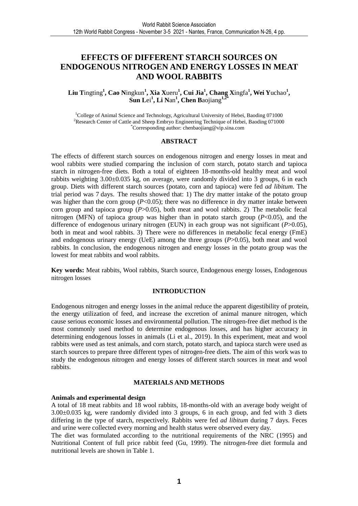# **EFFECTS OF DIFFERENT STARCH SOURCES ON ENDOGENOUS NITROGEN AND ENERGY LOSSES IN MEAT AND WOOL RABBITS**

# Liu Tingting<sup>1</sup>, Cao Ningkun<sup>1</sup>, Xia Xueru<sup>1</sup>, Cui Jia<sup>1</sup>, Chang Xingfa<sup>1</sup>, Wei Yuchao<sup>1</sup>, **Sun L**ei**<sup>1</sup> , Li N**an**<sup>1</sup> , Chen B**aojiang**1,2\***

<sup>1</sup>College of Animal Science and Technology, Agricultural University of Hebei, Baoding 071000 <sup>2</sup>Research Center of Cattle and Sheep Embryo Engineering Technique of Hebei, Baoding 071000 \*Corresponding author: chenbaojiang@vip.sina.com

## **ABSTRACT**

The effects of different starch sources on endogenous nitrogen and energy losses in meat and wool rabbits were studied comparing the inclusion of corn starch, potato starch and tapioca starch in nitrogen-free diets. Both a total of eighteen 18-months-old healthy meat and wool rabbits weighting 3.00±0.035 kg, on average, were randomly divided into 3 groups, 6 in each group. Diets with different starch sources (potato, corn and tapioca) were fed *ad libitum*. The trial period was 7 days. The results showed that: 1) The dry matter intake of the potato group was higher than the corn group  $(P<0.05)$ ; there was no difference in dry matter intake between corn group and tapioca group (*P*>0.05), both meat and wool rabbits. 2) The metabolic fecal nitrogen (MFN) of tapioca group was higher than in potato starch group (*P*<0.05), and the difference of endogenous urinary nitrogen (EUN) in each group was not significant (*P*>0.05), both in meat and wool rabbits. 3) There were no differences in metabolic fecal energy (FmE) and endogenous urinary energy (UeE) among the three groups (*P*>0.05), both meat and wool rabbits. In conclusion, the endogenous nitrogen and energy losses in the potato group was the lowest for meat rabbits and wool rabbits.

**Key words:** Meat rabbits, Wool rabbits, Starch source, Endogenous energy losses, Endogenous nitrogen losses

# **INTRODUCTION**

Endogenous nitrogen and energy losses in the animal reduce the apparent digestibility of protein, the energy utilization of feed, and increase the excretion of animal manure nitrogen, which cause serious economic losses and environmental pollution. The nitrogen-free diet method is the most commonly used method to determine endogenous losses, and has higher accuracy in determining endogenous losses in animals (Li et al., 2019). In this experiment, meat and wool rabbits were used as test animals, and corn starch, potato starch, and tapioca starch were used as starch sources to prepare three different types of nitrogen-free diets. The aim of this work was to study the endogenous nitrogen and energy losses of different starch sources in meat and wool rabbits.

### **MATERIALS AND METHODS**

### **Animals and experimental design**

A total of 18 meat rabbits and 18 wool rabbits, 18-months-old with an average body weight of  $3.00\pm0.035$  kg, were randomly divided into 3 groups, 6 in each group, and fed with 3 diets differing in the type of starch, respectively. Rabbits were fed *ad libitum* during 7 days. Feces and urine were collected every morning and health status were observed every day.

The diet was formulated according to the nutritional requirements of the NRC (1995) and Nutritional Content of full price rabbit feed (Gu, 1999). The nitrogen-free diet formula and nutritional levels are shown in Table 1.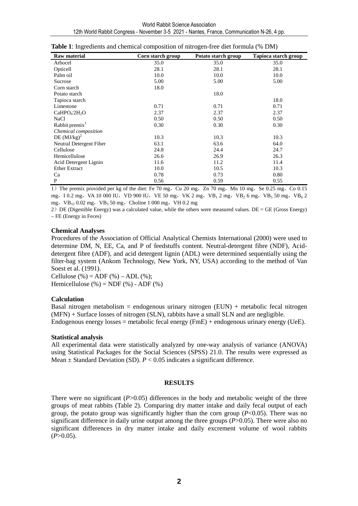| <b>Raw material</b>                  | Corn starch group | Potato starch group | Tapioca starch group |
|--------------------------------------|-------------------|---------------------|----------------------|
| Arbocel                              | 35.0              | 35.0                | 35.0                 |
| Opticell                             | 28.1              | 28.1                | 28.1                 |
| Palm oil                             | 10.0              | 10.0                | 10.0                 |
| Sucrose                              | 5.00              | 5.00                | 5.00                 |
| Corn starch                          | 18.0              |                     |                      |
| Potato starch                        |                   | 18.0                |                      |
| Tapioca starch                       |                   |                     | 18.0                 |
| Limestone                            | 0.71              | 0.71                | 0.71                 |
| CaHPO <sub>4</sub> 2H <sub>2</sub> O | 2.37              | 2.37                | 2.37                 |
| NaCl                                 | 0.50              | 0.50                | 0.50                 |
| Rabbit premix $1$                    | 0.30              | 0.30                | 0.30                 |
| Chemical composition                 |                   |                     |                      |
| DE $(MJ/kg)^2$                       | 10.3              | 10.3                | 10.3                 |
| Neutral Detergent Fiber              | 63.1              | 63.6                | 64.0                 |
| Cellulose                            | 24.8              | 24.4                | 24.7                 |
| Hemicellulose                        | 26.6              | 26.9                | 26.3                 |
| Acid Detergent Lignin                | 11.6              | 11.2                | 11.4                 |
| <b>Ether Extract</b>                 | 10.0              | 10.5                | 10.3                 |
| Ca                                   | 0.78              | 0.73                | 0.80                 |
| P                                    | 0.56              | 0.59                | 0.55                 |

**Table 1**: Ingredients and chemical composition of nitrogen-free diet formula (% DM)

1) The premix provided per kg of the diet: Fe 70 mg, Cu 20 mg, Zn 70 mg, Mn 10 mg, Se 0.25 mg, Co 0.15 mg, I 0.2 mg, VA 10 000 IU, VD 900 IU, VE 50 mg, VK 2 mg, VB<sub>1</sub> 2 mg, VB<sub>2</sub> 6 mg, VB<sub>5</sub> 50 mg, VB<sub>6</sub> 2 mg, VB<sub>12</sub> 0.02 mg, VB<sub>3</sub> 50 mg, Choline 1 000 mg, VH 0.2 mg

2) DE (Digestible Energy) was a calculated value, while the others were measured values. DE = GE (Gross Energy) – FE (Energy in Feces)

## **Chemical Analyses**

Procedures of the Association of Official Analytical Chemists International (2000) were used to determine DM, N, EE, Ca, and P of feedstuffs content. Neutral-detergent fibre (NDF), Aciddetergent fibre (ADF), and acid detergent lignin (ADL) were determined sequentially using the filter-bag system (Ankom Technology, New York, NY, USA) according to the method of Van Soest et al. (1991).

Cellulose  $(\% ) = ADF (\% ) - ADL (\% );$ Hemicellulose  $(\% )$  = NDF  $(\% )$  - ADF  $(\% )$ 

# **Calculation**

Basal nitrogen metabolism = endogenous urinary nitrogen (EUN) + metabolic fecal nitrogen (MFN) + Surface losses of nitrogen (SLN), rabbits have a small SLN and are negligible. Endogenous energy losses = metabolic fecal energy (FmE) + endogenous urinary energy (UeE).

# **Statistical analysis**

All experimental data were statistically analyzed by one-way analysis of variance (ANOVA) using Statistical Packages for the Social Sciences (SPSS) 21.0. The results were expressed as Mean  $\pm$  Standard Deviation (SD).  $P < 0.05$  indicates a significant difference.

### **RESULTS**

There were no significant (*P*>0.05) differences in the body and metabolic weight of the three groups of meat rabbits (Table 2). Comparing dry matter intake and daily fecal output of each group, the potato group was significantly higher than the corn group (*P*<0.05). There was no significant difference in daily urine output among the three groups (*P*>0.05). There were also no significant differences in dry matter intake and daily excrement volume of wool rabbits  $(P>0.05)$ .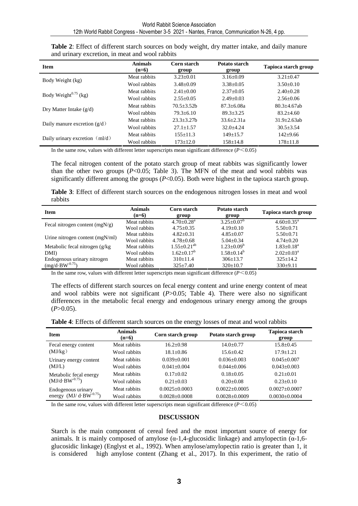| <b>Item</b>                    | <b>Animals</b><br>$(n=6)$                        | Corn starch<br>group | Potato starch<br>group | Tapioca starch group |
|--------------------------------|--------------------------------------------------|----------------------|------------------------|----------------------|
|                                | Meat rabbits                                     | $3.23 \pm 0.01$      | $3.16 \pm 0.09$        | $3.21 \pm 0.47$      |
| Body Weight (kg)               | Wool rabbits                                     | $3.48 \pm 0.09$      | $3.38 \pm 0.05$        | $3.50\pm0.10$        |
| Body Weight $^{0.75}$ (kg)     | Meat rabbits                                     | $2.41 + 0.00$        | $2.37+0.05$            | $2.40+0.28$          |
|                                | Wool rabbits                                     | $2.55+0.05$          | $2.49 + 0.03$          | $2.56 + 0.06$        |
|                                | Meat rabbits                                     | $70.5 + 3.52h$       | $87.3 + 6.08a$         | $80.3 + 4.67$ ab     |
| Dry Matter Intake $(g/d)$      | Wool rabbits                                     | $79.3 + 6.10$        | $89.3 + 3.25$          | $83.2 + 4.60$        |
|                                | $23.3 + 3.27h$<br>$33.6 + 2.31a$<br>Meat rabbits | $31.9 + 2.63$ ab     |                        |                      |
| Daily manure excretion $(g/d)$ | Wool rabbits                                     | $27.1 + 1.57$        | $32.0 + 4.24$          | $30.5 + 3.54$        |
|                                | Meat rabbits                                     | $155+11.3$           | $149+15.7$             | $142+9.66$           |
| Daily urinary excretion (ml/d) | Wool rabbits                                     | $173 \pm 12.0$       | $158 \pm 14.8$         | $178 \pm 11.8$       |

| Table 2: Effect of different starch sources on body weight, dry matter intake, and daily manure |  |
|-------------------------------------------------------------------------------------------------|--|
| and urinary excretion, in meat and wool rabbits                                                 |  |

In the same row, values with different letter superscripts mean significant difference  $(P<0.05)$ 

The fecal nitrogen content of the potato starch group of meat rabbits was significantly lower than the other two groups  $(P<0.05$ ; Table 3). The MFN of the meat and wool rabbits was significantly different among the groups  $(P< 0.05)$ . Both were highest in the tapioca starch group.

**Table 3**: Effect of different starch sources on the endogenous nitrogen losses in meat and wool rabbits

| <b>Item</b>                      | <b>Animals</b><br>$(n=6)$ | Corn starch<br>group       | Potato starch<br>group | Tapioca starch group |
|----------------------------------|---------------------------|----------------------------|------------------------|----------------------|
|                                  | Meat rabbits              | $4.70 + 0.28$ <sup>a</sup> | $3.25 \pm 0.07^b$      | $4.60+0.35^{\circ}$  |
| Fecal nitrogen content $(mgN/g)$ | Wool rabbits              | $4.75 + 0.35$              | $4.19+0.10$            | $5.50 \pm 0.71$      |
|                                  | Meat rabbits              | $4.82 + 0.31$              | $4.85 \pm 0.07$        | $5.50 \pm 0.71$      |
| Urine nitrogen content (mgN/ml)  | Wool rabbits              | $4.78 \pm 0.68$            | $5.04 \pm 0.34$        | $4.74 + 0.20$        |
| Metabolic fecal nitrogen (g/kg)  | Meat rabbits              | $1.55 \pm 0.21^{ab}$       | $1.23 \pm 0.09^b$      | $1.83 \pm 0.18^a$    |
| DMI)                             | Wool rabbits              | $1.62 \pm 0.17^b$          | $1.58 \pm 0.14^b$      | $2.02+0.03^a$        |
| Endogenous urinary nitrogen      | Meat rabbits              | $310+11.4$                 | $306 \pm 13.7$         | $325+14.2$           |
| $(mg/d \cdot BW^{-0.75})$        | Wool rabbits              | $325 \pm 7.40$             | $320 \pm 10.7$         | 330±9.11             |

In the same row, values with different letter superscripts mean significant difference  $(P<0.05)$ 

The effects of different starch sources on fecal energy content and urine energy content of meat and wool rabbits were not significant (*P*>0.05; Table 4). There were also no significant differences in the metabolic fecal energy and endogenous urinary energy among the groups  $(P>0.05)$ .

| <b>Item</b>                      | <b>Animals</b><br>$(n=6)$ | Corn starch group   | Potato starch group | <b>Tapioca starch</b><br>group |
|----------------------------------|---------------------------|---------------------|---------------------|--------------------------------|
| Fecal energy content             | Meat rabbits              | $16.2 + 0.98$       | $14.0 + 0.77$       | $15.8 + 0.45$                  |
| (MJ/kg)                          | Wool rabbits              | $18.1 \pm 0.86$     | $15.6 + 0.42$       | $17.9 + 1.21$                  |
| Urinary energy content           | Meat rabbits              | $0.039 + 0.001$     | $0.036 + 0.003$     | $0.045 + 0.007$                |
| (MJ/L)                           | Wool rabbits              | $0.041 + 0.004$     | $0.044 + 0.006$     | $0.043 + 0.003$                |
| Metabolic fecal energy           | Meat rabbits              | $0.17+0.02$         | $0.18 + 0.05$       | $0.21 + 0.01$                  |
| $(MJ/d·BW-0.75)$                 | Wool rabbits              | $0.21 + 0.03$       | $0.20 + 0.08$       | $0.23 + 0.10$                  |
| Endogenous urinary               | Meat rabbits              | $0.0025 + 0.0003$   | $0.0022 + 0.0005$   | $0.0027 \pm 0.0007$            |
| energy $(MJ/d \cdot BW^{-0.75})$ | Wool rabbits              | $0.0028 \pm 0.0008$ | $0.0028 \pm 0.0009$ | $0.0030\pm0.0004$              |

In the same row, values with different letter superscripts mean significant difference  $(P<0.05)$ 

# **DISCUSSION**

Starch is the main component of cereal feed and the most important source of energy for animals. It is mainly composed of amylose  $(\alpha-1, 4)$ -glucosidic linkage) and amylopectin  $(\alpha-1, 6)$ glucosidic linkage) (Englyst et al., 1992). When amylose/amylopectin ratio is greater than 1, it is considered high amylose content (Zhang et al., 2017). In this experiment, the ratio of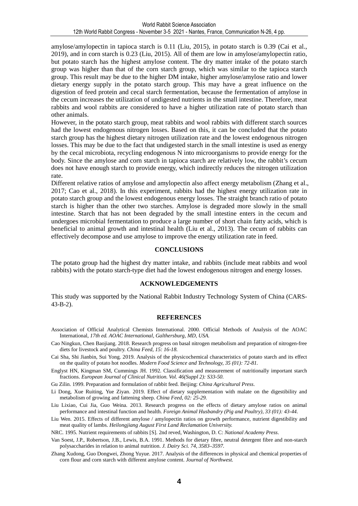amylose/amylopectin in tapioca starch is 0.11 (Liu, 2015), in potato starch is 0.39 (Cai et al., 2019), and in corn starch is 0.23 (Liu, 2015). All of them are low in amylose/amylopectin ratio, but potato starch has the highest amylose content. The dry matter intake of the potato starch group was higher than that of the corn starch group, which was similar to the tapioca starch group. This result may be due to the higher DM intake, higher amylose/amylose ratio and lower dietary energy supply in the potato starch group. This may have a great influence on the digestion of feed protein and cecal starch fermentation, because the fermentation of amylose in the cecum increases the utilization of undigested nutrients in the small intestine. Therefore, meat rabbits and wool rabbits are considered to have a higher utilization rate of potato starch than other animals.

However, in the potato starch group, meat rabbits and wool rabbits with different starch sources had the lowest endogenous nitrogen losses. Based on this, it can be concluded that the potato starch group has the highest dietary nitrogen utilization rate and the lowest endogenous nitrogen losses. This may be due to the fact that undigested starch in the small intestine is used as energy by the cecal microbiota, recycling endogenous N into microorganisms to provide energy for the body. Since the amylose and corn starch in tapioca starch are relatively low, the rabbit's cecum does not have enough starch to provide energy, which indirectly reduces the nitrogen utilization rate.

Different relative ratios of amylose and amylopectin also affect energy metabolism (Zhang et al., 2017; Cao et al., 2018). In this experiment, rabbits had the highest energy utilization rate in potato starch group and the lowest endogenous energy losses. The straight branch ratio of potato starch is higher than the other two starches. Amylose is degraded more slowly in the small intestine. Starch that has not been degraded by the small intestine enters in the cecum and undergoes microbial fermentation to produce a large number of short chain fatty acids, which is beneficial to animal growth and intestinal health (Liu et al., 2013). The cecum of rabbits can effectively decompose and use amylose to improve the energy utilization rate in feed.

## **CONCLUSIONS**

The potato group had the highest dry matter intake, and rabbits (include meat rabbits and wool rabbits) with the potato starch-type diet had the lowest endogenous nitrogen and energy losses.

### **ACKNOWLEDGEMENTS**

This study was supported by the National Rabbit Industry Technology System of China (CARS-43-B-2).

#### **REFERENCES**

- Association of Official Analytical Chemists International. 2000. Official Methods of Analysis of the AOAC International, *17th ed. AOAC International, Galthersburg, MD, USA.*
- Cao Ningkun, Chen Baojiang. 2018. Research progress on basal nitrogen metabolism and preparation of nitrogen-free diets for livestock and poultry. *China Feed, 15: 16-18.*
- Cai Sha, Shi Jianbin, Sui Yong. 2019. Analysis of the physicochemical characteristics of potato starch and its effect on the quality of potato hot noodles. *Modern Food Science and Technology, 35 (01): 72-81.*
- Englyst HN, Kingman SM, Cummings JH. 1992. Classification and measurement of nutritionally important starch fractions. *European Journal of Clinical Nutrition. Vol. 46(Suppl 2): S33-50.*

Gu Zilin. 1999. Preparation and formulation of rabbit feed. Beijing: *China Agricultural Press*.

- Li Dong, Xue Ruiting, Yue Ziyan. 2019. Effect of dietary supplementation with malate on the digestibility and metabolism of growing and fattening sheep. *China Feed, 02: 25-29.*
- Liu Lixiao, Cui Jia, Guo Weina. 2013. Research progress on the effects of dietary amylose ratios on animal performance and intestinal function and health. *Foreign Animal Husbandry (Pig and Poultry), 33 (01): 43-44.*
- Liu Wen. 2015. Effects of different amylose / amylopectin ratios on growth performance, nutrient digestibility and meat quality of lambs. *Heilongjiang August First Land Reclamation University.*

NRC. 1995. Nutrient requirements of rabbits [S]. 2nd reved, Washington, D. C: *National Academy Press*.

- Van Soest, J.P., Robertson, J.B., Lewis, B.A. 1991. Methods for dietary fibre, neutral detergent fibre and non-starch polysaccharides in relation to animal nutrition. *J. Dairy Sci. 74, 3583–3597.*
- Zhang Xudong, Guo Dongwei, Zhong Yuyue. 2017. Analysis of the differences in physical and chemical properties of corn flour and corn starch with different amylose content. *Journal of Northwest.*